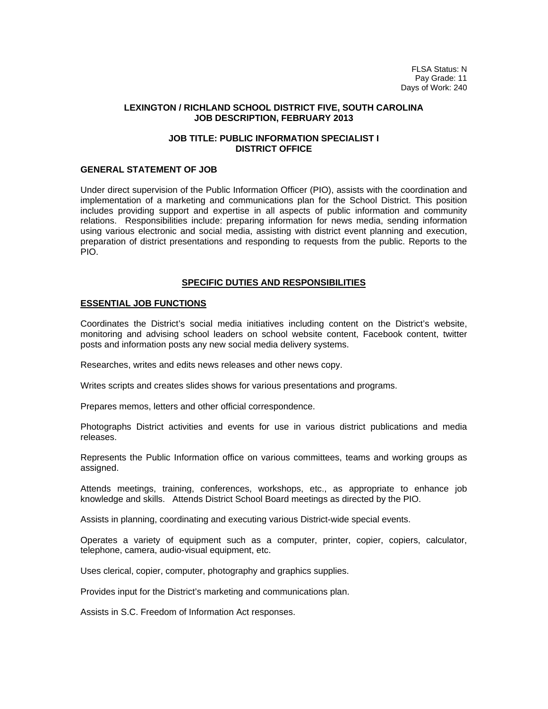FLSA Status: N Pay Grade: 11 Days of Work: 240

#### **LEXINGTON / RICHLAND SCHOOL DISTRICT FIVE, SOUTH CAROLINA JOB DESCRIPTION, FEBRUARY 2013**

## **JOB TITLE: PUBLIC INFORMATION SPECIALIST I DISTRICT OFFICE**

# **GENERAL STATEMENT OF JOB**

Under direct supervision of the Public Information Officer (PIO), assists with the coordination and implementation of a marketing and communications plan for the School District. This position includes providing support and expertise in all aspects of public information and community relations. Responsibilities include: preparing information for news media, sending information using various electronic and social media, assisting with district event planning and execution, preparation of district presentations and responding to requests from the public. Reports to the PIO.

## **SPECIFIC DUTIES AND RESPONSIBILITIES**

## **ESSENTIAL JOB FUNCTIONS**

Coordinates the District's social media initiatives including content on the District's website, monitoring and advising school leaders on school website content, Facebook content, twitter posts and information posts any new social media delivery systems.

Researches, writes and edits news releases and other news copy.

Writes scripts and creates slides shows for various presentations and programs.

Prepares memos, letters and other official correspondence.

Photographs District activities and events for use in various district publications and media releases.

Represents the Public Information office on various committees, teams and working groups as assigned.

Attends meetings, training, conferences, workshops, etc., as appropriate to enhance job knowledge and skills. Attends District School Board meetings as directed by the PIO.

Assists in planning, coordinating and executing various District-wide special events.

Operates a variety of equipment such as a computer, printer, copier, copiers, calculator, telephone, camera, audio-visual equipment, etc.

Uses clerical, copier, computer, photography and graphics supplies.

Provides input for the District's marketing and communications plan.

Assists in S.C. Freedom of Information Act responses.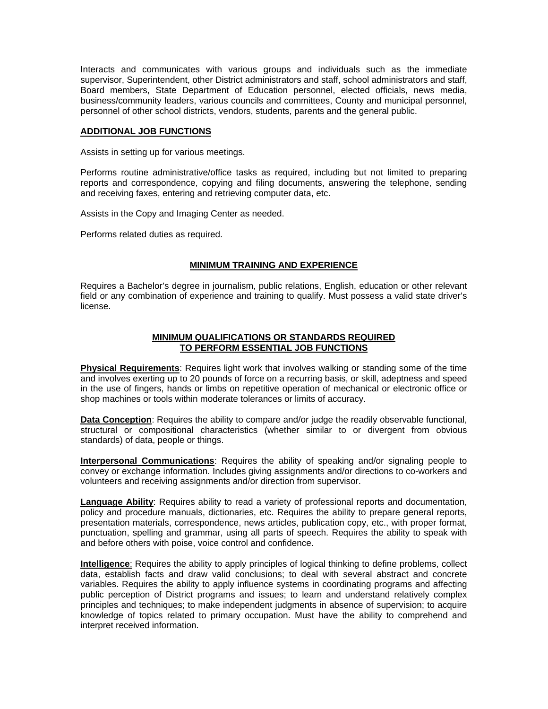Interacts and communicates with various groups and individuals such as the immediate supervisor, Superintendent, other District administrators and staff, school administrators and staff, Board members, State Department of Education personnel, elected officials, news media, business/community leaders, various councils and committees, County and municipal personnel, personnel of other school districts, vendors, students, parents and the general public.

## **ADDITIONAL JOB FUNCTIONS**

Assists in setting up for various meetings.

Performs routine administrative/office tasks as required, including but not limited to preparing reports and correspondence, copying and filing documents, answering the telephone, sending and receiving faxes, entering and retrieving computer data, etc.

Assists in the Copy and Imaging Center as needed.

Performs related duties as required.

# **MINIMUM TRAINING AND EXPERIENCE**

Requires a Bachelor's degree in journalism, public relations, English, education or other relevant field or any combination of experience and training to qualify. Must possess a valid state driver's license.

## **MINIMUM QUALIFICATIONS OR STANDARDS REQUIRED TO PERFORM ESSENTIAL JOB FUNCTIONS**

**Physical Requirements**: Requires light work that involves walking or standing some of the time and involves exerting up to 20 pounds of force on a recurring basis, or skill, adeptness and speed in the use of fingers, hands or limbs on repetitive operation of mechanical or electronic office or shop machines or tools within moderate tolerances or limits of accuracy.

**Data Conception**: Requires the ability to compare and/or judge the readily observable functional, structural or compositional characteristics (whether similar to or divergent from obvious standards) of data, people or things.

**Interpersonal Communications**: Requires the ability of speaking and/or signaling people to convey or exchange information. Includes giving assignments and/or directions to co-workers and volunteers and receiving assignments and/or direction from supervisor.

**Language Ability**: Requires ability to read a variety of professional reports and documentation, policy and procedure manuals, dictionaries, etc. Requires the ability to prepare general reports, presentation materials, correspondence, news articles, publication copy, etc., with proper format, punctuation, spelling and grammar, using all parts of speech. Requires the ability to speak with and before others with poise, voice control and confidence.

**Intelligence**: Requires the ability to apply principles of logical thinking to define problems, collect data, establish facts and draw valid conclusions; to deal with several abstract and concrete variables. Requires the ability to apply influence systems in coordinating programs and affecting public perception of District programs and issues; to learn and understand relatively complex principles and techniques; to make independent judgments in absence of supervision; to acquire knowledge of topics related to primary occupation. Must have the ability to comprehend and interpret received information.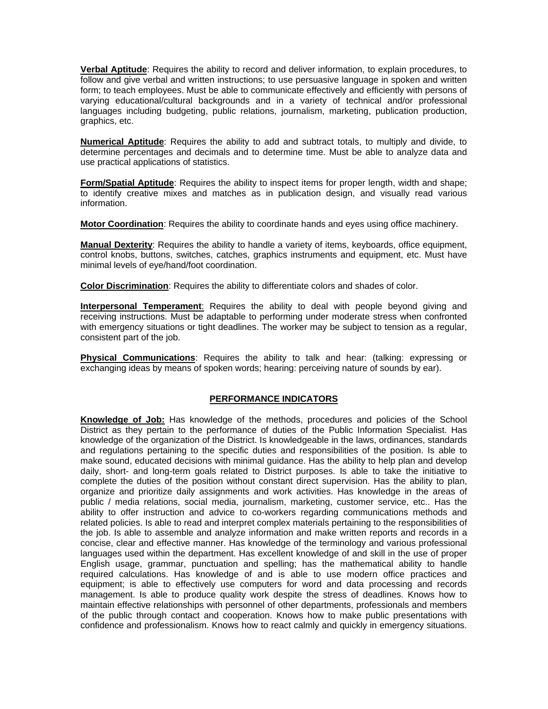**Verbal Aptitude**: Requires the ability to record and deliver information, to explain procedures, to follow and give verbal and written instructions; to use persuasive language in spoken and written form; to teach employees. Must be able to communicate effectively and efficiently with persons of varying educational/cultural backgrounds and in a variety of technical and/or professional languages including budgeting, public relations, journalism, marketing, publication production, graphics, etc.

**Numerical Aptitude**: Requires the ability to add and subtract totals, to multiply and divide, to determine percentages and decimals and to determine time. Must be able to analyze data and use practical applications of statistics.

**Form/Spatial Aptitude**: Requires the ability to inspect items for proper length, width and shape; to identify creative mixes and matches as in publication design, and visually read various information.

**Motor Coordination**: Requires the ability to coordinate hands and eyes using office machinery.

**Manual Dexterity**: Requires the ability to handle a variety of items, keyboards, office equipment, control knobs, buttons, switches, catches, graphics instruments and equipment, etc. Must have minimal levels of eye/hand/foot coordination.

**Color Discrimination**: Requires the ability to differentiate colors and shades of color.

**Interpersonal Temperament**: Requires the ability to deal with people beyond giving and receiving instructions. Must be adaptable to performing under moderate stress when confronted with emergency situations or tight deadlines. The worker may be subject to tension as a regular, consistent part of the job.

**Physical Communications**: Requires the ability to talk and hear: (talking: expressing or exchanging ideas by means of spoken words; hearing: perceiving nature of sounds by ear).

# **PERFORMANCE INDICATORS**

**Knowledge of Job:** Has knowledge of the methods, procedures and policies of the School District as they pertain to the performance of duties of the Public Information Specialist. Has knowledge of the organization of the District. Is knowledgeable in the laws, ordinances, standards and regulations pertaining to the specific duties and responsibilities of the position. Is able to make sound, educated decisions with minimal guidance. Has the ability to help plan and develop daily, short- and long-term goals related to District purposes. Is able to take the initiative to complete the duties of the position without constant direct supervision. Has the ability to plan, organize and prioritize daily assignments and work activities. Has knowledge in the areas of public / media relations, social media, journalism, marketing, customer service, etc.. Has the ability to offer instruction and advice to co-workers regarding communications methods and related policies. Is able to read and interpret complex materials pertaining to the responsibilities of the job. Is able to assemble and analyze information and make written reports and records in a concise, clear and effective manner. Has knowledge of the terminology and various professional languages used within the department. Has excellent knowledge of and skill in the use of proper English usage, grammar, punctuation and spelling; has the mathematical ability to handle required calculations. Has knowledge of and is able to use modern office practices and equipment; is able to effectively use computers for word and data processing and records management. Is able to produce quality work despite the stress of deadlines. Knows how to maintain effective relationships with personnel of other departments, professionals and members of the public through contact and cooperation. Knows how to make public presentations with confidence and professionalism. Knows how to react calmly and quickly in emergency situations.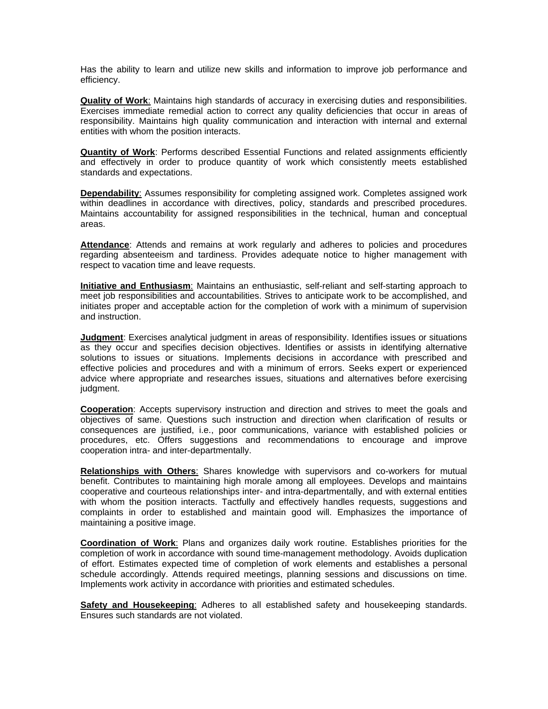Has the ability to learn and utilize new skills and information to improve job performance and efficiency.

**Quality of Work**: Maintains high standards of accuracy in exercising duties and responsibilities. Exercises immediate remedial action to correct any quality deficiencies that occur in areas of responsibility. Maintains high quality communication and interaction with internal and external entities with whom the position interacts.

**Quantity of Work**: Performs described Essential Functions and related assignments efficiently and effectively in order to produce quantity of work which consistently meets established standards and expectations.

**Dependability**: Assumes responsibility for completing assigned work. Completes assigned work within deadlines in accordance with directives, policy, standards and prescribed procedures. Maintains accountability for assigned responsibilities in the technical, human and conceptual areas.

**Attendance**: Attends and remains at work regularly and adheres to policies and procedures regarding absenteeism and tardiness. Provides adequate notice to higher management with respect to vacation time and leave requests.

**Initiative and Enthusiasm**: Maintains an enthusiastic, self-reliant and self-starting approach to meet job responsibilities and accountabilities. Strives to anticipate work to be accomplished, and initiates proper and acceptable action for the completion of work with a minimum of supervision and instruction.

**Judgment**: Exercises analytical judgment in areas of responsibility. Identifies issues or situations as they occur and specifies decision objectives. Identifies or assists in identifying alternative solutions to issues or situations. Implements decisions in accordance with prescribed and effective policies and procedures and with a minimum of errors. Seeks expert or experienced advice where appropriate and researches issues, situations and alternatives before exercising judgment.

**Cooperation**: Accepts supervisory instruction and direction and strives to meet the goals and objectives of same. Questions such instruction and direction when clarification of results or consequences are justified, i.e., poor communications, variance with established policies or procedures, etc. Offers suggestions and recommendations to encourage and improve cooperation intra- and inter-departmentally.

**Relationships with Others**: Shares knowledge with supervisors and co-workers for mutual benefit. Contributes to maintaining high morale among all employees. Develops and maintains cooperative and courteous relationships inter- and intra-departmentally, and with external entities with whom the position interacts. Tactfully and effectively handles requests, suggestions and complaints in order to established and maintain good will. Emphasizes the importance of maintaining a positive image.

**Coordination of Work**: Plans and organizes daily work routine. Establishes priorities for the completion of work in accordance with sound time-management methodology. Avoids duplication of effort. Estimates expected time of completion of work elements and establishes a personal schedule accordingly. Attends required meetings, planning sessions and discussions on time. Implements work activity in accordance with priorities and estimated schedules.

**Safety and Housekeeping**: Adheres to all established safety and housekeeping standards. Ensures such standards are not violated.